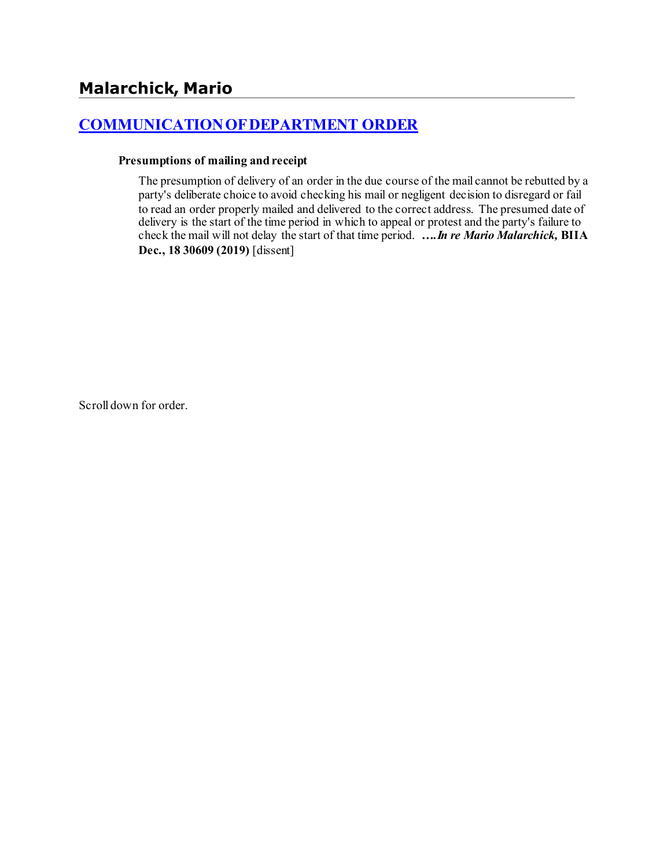# **[COMMUNICATION OF DEPARTMENT ORDER](http://www.biia.wa.gov/SDSubjectIndex.html#COMMUNICATION_OF_DEPARTMENT_ORDER)**

#### **Presumptions of mailing and receipt**

The presumption of delivery of an order in the due course of the mail cannot be rebutted by a party's deliberate choice to avoid checking his mail or negligent decision to disregard or fail to read an order properly mailed and delivered to the correct address. The presumed date of delivery is the start of the time period in which to appeal or protest and the party's failure to check the mail will not delay the start of that time period. *….In re Mario Malarchick,* **BIIA Dec., 18 30609 (2019)** [dissent]

Scroll down for order.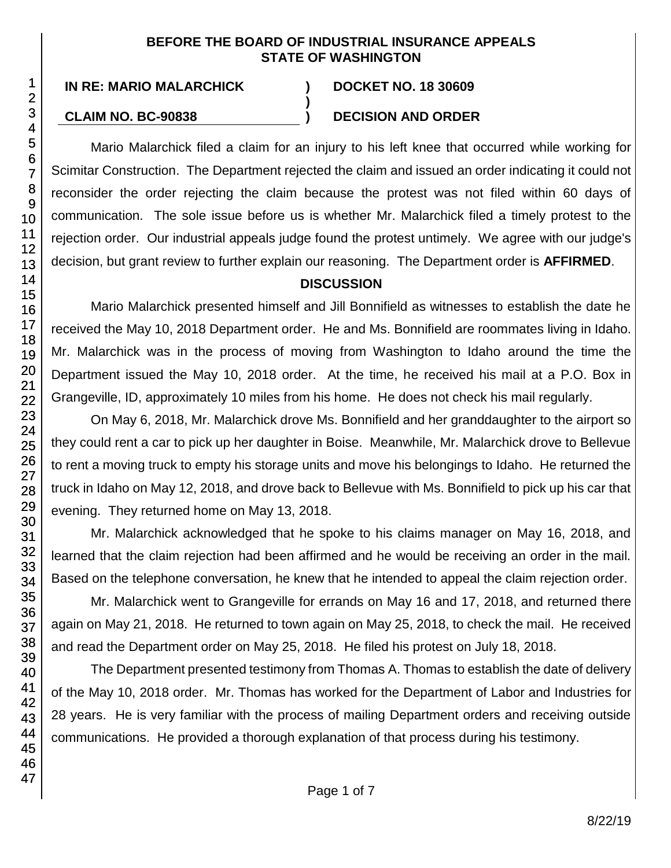#### **BEFORE THE BOARD OF INDUSTRIAL INSURANCE APPEALS STATE OF WASHINGTON**

**)**

**IN RE: MARIO MALARCHICK ) DOCKET NO. 18 30609**

## **CLAIM NO. BC-90838 ) DECISION AND ORDER**

Mario Malarchick filed a claim for an injury to his left knee that occurred while working for Scimitar Construction. The Department rejected the claim and issued an order indicating it could not reconsider the order rejecting the claim because the protest was not filed within 60 days of communication. The sole issue before us is whether Mr. Malarchick filed a timely protest to the rejection order. Our industrial appeals judge found the protest untimely. We agree with our judge's decision, but grant review to further explain our reasoning. The Department order is **AFFIRMED**.

## **DISCUSSION**

Mario Malarchick presented himself and Jill Bonnifield as witnesses to establish the date he received the May 10, 2018 Department order. He and Ms. Bonnifield are roommates living in Idaho. Mr. Malarchick was in the process of moving from Washington to Idaho around the time the Department issued the May 10, 2018 order. At the time, he received his mail at a P.O. Box in Grangeville, ID, approximately 10 miles from his home. He does not check his mail regularly.

On May 6, 2018, Mr. Malarchick drove Ms. Bonnifield and her granddaughter to the airport so they could rent a car to pick up her daughter in Boise. Meanwhile, Mr. Malarchick drove to Bellevue to rent a moving truck to empty his storage units and move his belongings to Idaho. He returned the truck in Idaho on May 12, 2018, and drove back to Bellevue with Ms. Bonnifield to pick up his car that evening. They returned home on May 13, 2018.

Mr. Malarchick acknowledged that he spoke to his claims manager on May 16, 2018, and learned that the claim rejection had been affirmed and he would be receiving an order in the mail. Based on the telephone conversation, he knew that he intended to appeal the claim rejection order.

Mr. Malarchick went to Grangeville for errands on May 16 and 17, 2018, and returned there again on May 21, 2018. He returned to town again on May 25, 2018, to check the mail. He received and read the Department order on May 25, 2018. He filed his protest on July 18, 2018.

The Department presented testimony from Thomas A. Thomas to establish the date of delivery of the May 10, 2018 order. Mr. Thomas has worked for the Department of Labor and Industries for 28 years. He is very familiar with the process of mailing Department orders and receiving outside communications. He provided a thorough explanation of that process during his testimony.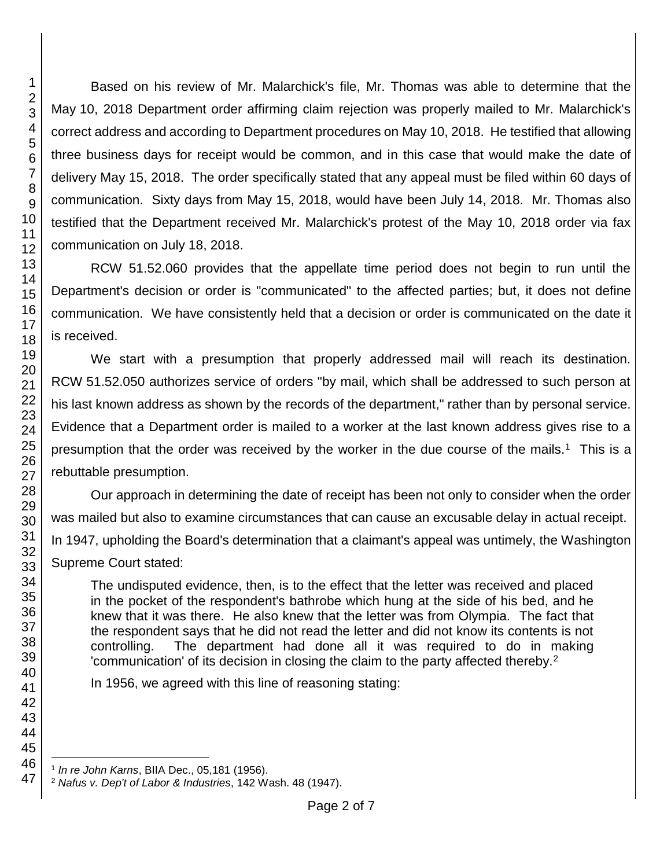Based on his review of Mr. Malarchick's file, Mr. Thomas was able to determine that the May 10, 2018 Department order affirming claim rejection was properly mailed to Mr. Malarchick's correct address and according to Department procedures on May 10, 2018. He testified that allowing three business days for receipt would be common, and in this case that would make the date of delivery May 15, 2018. The order specifically stated that any appeal must be filed within 60 days of communication. Sixty days from May 15, 2018, would have been July 14, 2018. Mr. Thomas also testified that the Department received Mr. Malarchick's protest of the May 10, 2018 order via fax communication on July 18, 2018.

RCW 51.52.060 provides that the appellate time period does not begin to run until the Department's decision or order is "communicated" to the affected parties; but, it does not define communication. We have consistently held that a decision or order is communicated on the date it is received.

We start with a presumption that properly addressed mail will reach its destination. RCW 51.52.050 authorizes service of orders "by mail, which shall be addressed to such person at his last known address as shown by the records of the department," rather than by personal service. Evidence that a Department order is mailed to a worker at the last known address gives rise to a presumption that the order was received by the worker in the due course of the mails.<sup>1</sup> This is a rebuttable presumption.

Our approach in determining the date of receipt has been not only to consider when the order was mailed but also to examine circumstances that can cause an excusable delay in actual receipt. In 1947, upholding the Board's determination that a claimant's appeal was untimely, the Washington Supreme Court stated:

The undisputed evidence, then, is to the effect that the letter was received and placed in the pocket of the respondent's bathrobe which hung at the side of his bed, and he knew that it was there. He also knew that the letter was from Olympia. The fact that the respondent says that he did not read the letter and did not know its contents is not controlling. The department had done all it was required to do in making 'communication' of its decision in closing the claim to the party affected thereby.<sup>2</sup>

In 1956, we agreed with this line of reasoning stating:

l *In re John Karns*, BIIA Dec., 05,181 (1956).

*Nafus v. Dep't of Labor & Industries*, 142 Wash. 48 (1947).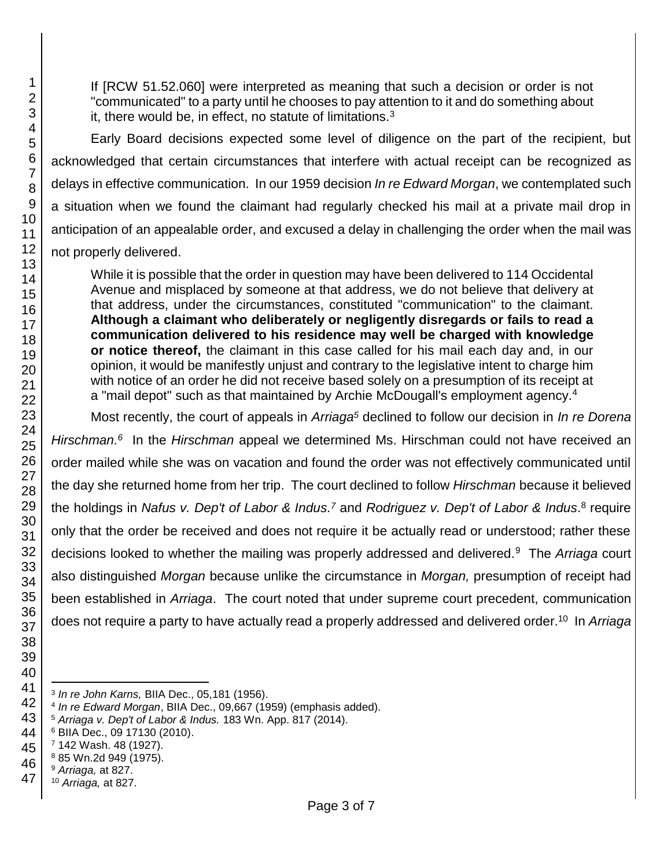If [RCW 51.52.060] were interpreted as meaning that such a decision or order is not "communicated" to a party until he chooses to pay attention to it and do something about it, there would be, in effect, no statute of limitations.<sup>3</sup>

Early Board decisions expected some level of diligence on the part of the recipient, but acknowledged that certain circumstances that interfere with actual receipt can be recognized as delays in effective communication. In our 1959 decision *In re Edward Morgan*, we contemplated such a situation when we found the claimant had regularly checked his mail at a private mail drop in anticipation of an appealable order, and excused a delay in challenging the order when the mail was not properly delivered.

While it is possible that the order in question may have been delivered to 114 Occidental Avenue and misplaced by someone at that address, we do not believe that delivery at that address, under the circumstances, constituted "communication" to the claimant. **Although a claimant who deliberately or negligently disregards or fails to read a communication delivered to his residence may well be charged with knowledge or notice thereof,** the claimant in this case called for his mail each day and, in our opinion, it would be manifestly unjust and contrary to the legislative intent to charge him with notice of an order he did not receive based solely on a presumption of its receipt at a "mail depot" such as that maintained by Archie McDougall's employment agency.<sup>4</sup>

Most recently, the court of appeals in *Arriaga<sup>5</sup>* declined to follow our decision in *In re Dorena*  Hirschman.<sup>6</sup> In the Hirschman appeal we determined Ms. Hirschman could not have received an order mailed while she was on vacation and found the order was not effectively communicated until the day she returned home from her trip. The court declined to follow *Hirschman* because it believed the holdings in *Nafus v. Dep't of Labor & Indus.<sup>7</sup>* and *Rodriguez v. Dep't of Labor & Indus*.<sup>8</sup> require only that the order be received and does not require it be actually read or understood; rather these decisions looked to whether the mailing was properly addressed and delivered.<sup>9</sup> The *Arriaga* court also distinguished *Morgan* because unlike the circumstance in *Morgan,* presumption of receipt had been established in *Arriaga*. The court noted that under supreme court precedent, communication does not require a party to have actually read a properly addressed and delivered order.<sup>10</sup> In *Arriaga* 

- 3 *In re John Karns,* BIIA Dec., 05,181 (1956).
- *In re Edward Morgan*, BIIA Dec., 09,667 (1959) (emphasis added).
- *Arriaga v. Dep't of Labor & Indus.* 183 Wn. App. 817 (2014).
- BIIA Dec., 09 17130 (2010).
- 142 Wash. 48 (1927).
- 85 Wn.2d 949 (1975).
- *Arriaga,* at 827.
	- *Arriaga,* at 827.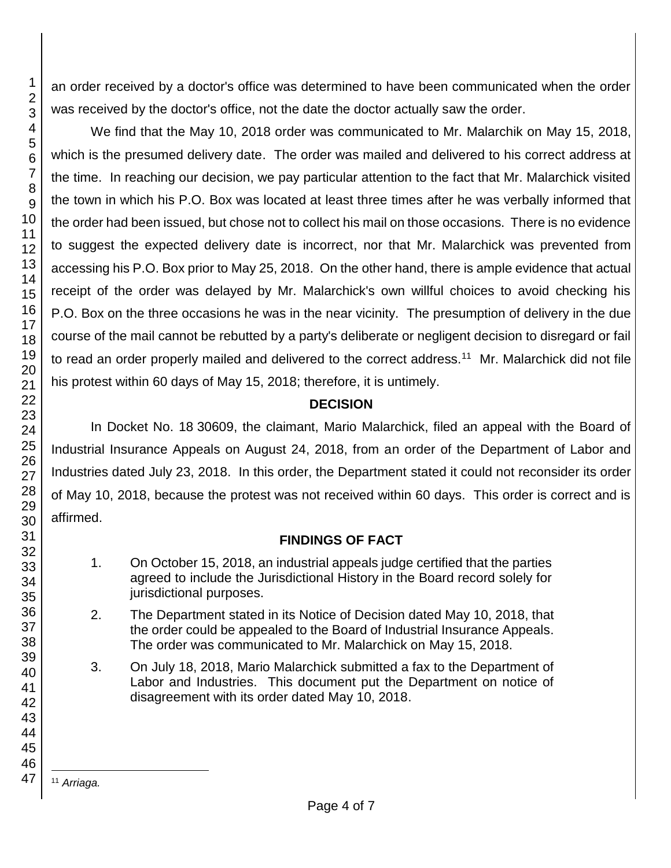an order received by a doctor's office was determined to have been communicated when the order was received by the doctor's office, not the date the doctor actually saw the order.

We find that the May 10, 2018 order was communicated to Mr. Malarchik on May 15, 2018, which is the presumed delivery date. The order was mailed and delivered to his correct address at the time. In reaching our decision, we pay particular attention to the fact that Mr. Malarchick visited the town in which his P.O. Box was located at least three times after he was verbally informed that the order had been issued, but chose not to collect his mail on those occasions. There is no evidence to suggest the expected delivery date is incorrect, nor that Mr. Malarchick was prevented from accessing his P.O. Box prior to May 25, 2018. On the other hand, there is ample evidence that actual receipt of the order was delayed by Mr. Malarchick's own willful choices to avoid checking his P.O. Box on the three occasions he was in the near vicinity. The presumption of delivery in the due course of the mail cannot be rebutted by a party's deliberate or negligent decision to disregard or fail to read an order properly mailed and delivered to the correct address.<sup>11</sup> Mr. Malarchick did not file his protest within 60 days of May 15, 2018; therefore, it is untimely.

## **DECISION**

In Docket No. 18 30609, the claimant, Mario Malarchick, filed an appeal with the Board of Industrial Insurance Appeals on August 24, 2018, from an order of the Department of Labor and Industries dated July 23, 2018. In this order, the Department stated it could not reconsider its order of May 10, 2018, because the protest was not received within 60 days. This order is correct and is affirmed.

## **FINDINGS OF FACT**

- 1. On October 15, 2018, an industrial appeals judge certified that the parties agreed to include the Jurisdictional History in the Board record solely for jurisdictional purposes.
- 2. The Department stated in its Notice of Decision dated May 10, 2018, that the order could be appealed to the Board of Industrial Insurance Appeals. The order was communicated to Mr. Malarchick on May 15, 2018.
- 3. On July 18, 2018, Mario Malarchick submitted a fax to the Department of Labor and Industries. This document put the Department on notice of disagreement with its order dated May 10, 2018.

l <sup>11</sup> *Arriaga.*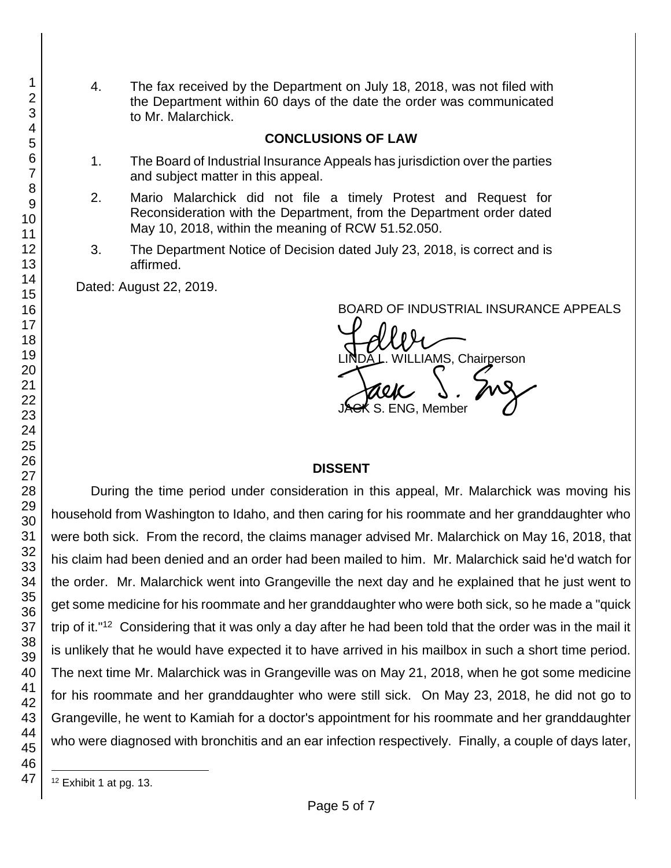4. The fax received by the Department on July 18, 2018, was not filed with the Department within 60 days of the date the order was communicated to Mr. Malarchick.

#### **CONCLUSIONS OF LAW**

- 1. The Board of Industrial Insurance Appeals has jurisdiction over the parties and subject matter in this appeal.
- 2. Mario Malarchick did not file a timely Protest and Request for Reconsideration with the Department, from the Department order dated May 10, 2018, within the meaning of RCW 51.52.050.
- 3. The Department Notice of Decision dated July 23, 2018, is correct and is affirmed.

Dated: August 22, 2019.

BOARD OF INDUSTRIAL INSURANCE APPEALS

BOARD OF INDUSTRIAL INSURAM<br>LINDA L. WILLIAMS, Chairperson<br>JAGK S. ENG, Member S. ENG, Member

#### **DISSENT**

During the time period under consideration in this appeal, Mr. Malarchick was moving his household from Washington to Idaho, and then caring for his roommate and her granddaughter who were both sick. From the record, the claims manager advised Mr. Malarchick on May 16, 2018, that his claim had been denied and an order had been mailed to him. Mr. Malarchick said he'd watch for the order. Mr. Malarchick went into Grangeville the next day and he explained that he just went to get some medicine for his roommate and her granddaughter who were both sick, so he made a "quick trip of it."<sup>12</sup> Considering that it was only a day after he had been told that the order was in the mail it is unlikely that he would have expected it to have arrived in his mailbox in such a short time period. The next time Mr. Malarchick was in Grangeville was on May 21, 2018, when he got some medicine for his roommate and her granddaughter who were still sick. On May 23, 2018, he did not go to Grangeville, he went to Kamiah for a doctor's appointment for his roommate and her granddaughter who were diagnosed with bronchitis and an ear infection respectively. Finally, a couple of days later,

l <sup>12</sup> Exhibit 1 at pg. 13.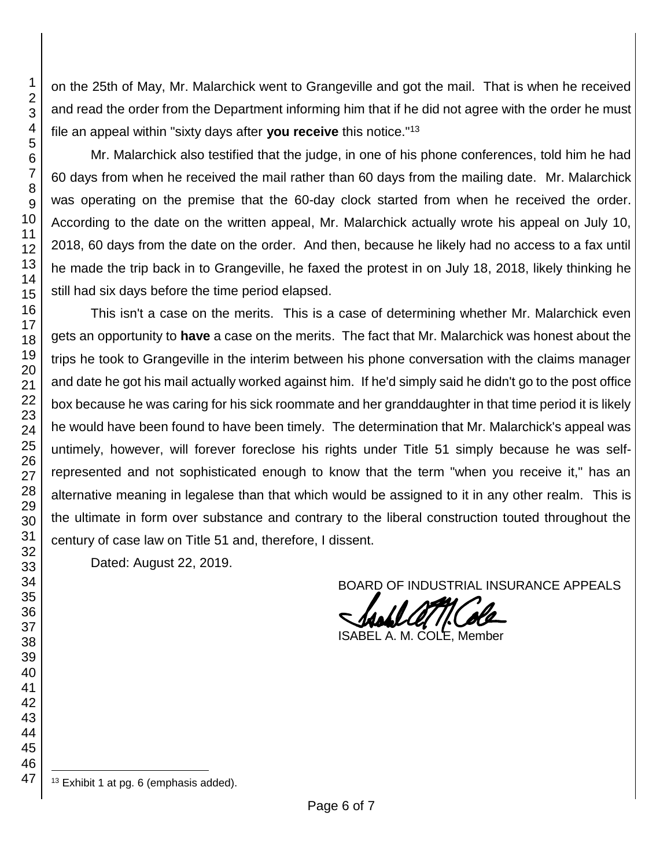on the 25th of May, Mr. Malarchick went to Grangeville and got the mail. That is when he received and read the order from the Department informing him that if he did not agree with the order he must file an appeal within "sixty days after **you receive** this notice."<sup>13</sup>

Mr. Malarchick also testified that the judge, in one of his phone conferences, told him he had 60 days from when he received the mail rather than 60 days from the mailing date. Mr. Malarchick was operating on the premise that the 60-day clock started from when he received the order. According to the date on the written appeal, Mr. Malarchick actually wrote his appeal on July 10, 2018, 60 days from the date on the order. And then, because he likely had no access to a fax until he made the trip back in to Grangeville, he faxed the protest in on July 18, 2018, likely thinking he still had six days before the time period elapsed.

This isn't a case on the merits. This is a case of determining whether Mr. Malarchick even gets an opportunity to **have** a case on the merits. The fact that Mr. Malarchick was honest about the trips he took to Grangeville in the interim between his phone conversation with the claims manager and date he got his mail actually worked against him. If he'd simply said he didn't go to the post office box because he was caring for his sick roommate and her granddaughter in that time period it is likely he would have been found to have been timely. The determination that Mr. Malarchick's appeal was untimely, however, will forever foreclose his rights under Title 51 simply because he was selfrepresented and not sophisticated enough to know that the term "when you receive it," has an alternative meaning in legalese than that which would be assigned to it in any other realm. This is the ultimate in form over substance and contrary to the liberal construction touted throughout the century of case law on Title 51 and, therefore, I dissent.

Dated: August 22, 2019.

BOARD OF INDUSTRIAL INSURANCE APPEALS

€ ISABEL A. M. COLE, Member

l <sup>13</sup> Exhibit 1 at pg. 6 (emphasis added).